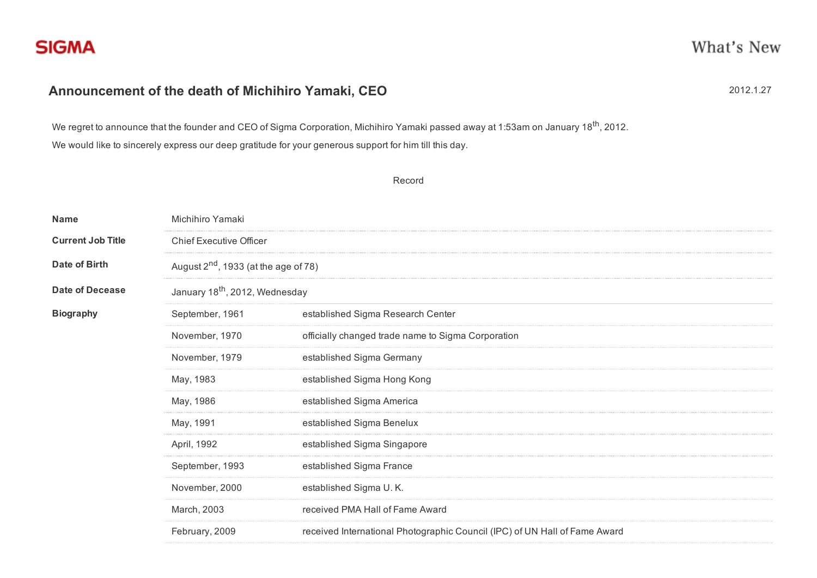## Announcement of the death of Michihiro Yamaki, CEO 2012 2012 2012.1.27

We regret to announce that the founder and CEO of Sigma Corporation, Michihiro Yamaki passed away at 1:53am on January 18<sup>th</sup>, 2012. We would like to sincerely express our deep gratitude for your generous support for him till this day.

Record

| Name                     | Michihiro Yamaki<br><b>Chief Executive Officer</b><br>August $2nd$ , 1933 (at the age of 78) |                                                                            |  |
|--------------------------|----------------------------------------------------------------------------------------------|----------------------------------------------------------------------------|--|
| <b>Current Job Title</b> |                                                                                              |                                                                            |  |
| <b>Date of Birth</b>     |                                                                                              |                                                                            |  |
| <b>Date of Decease</b>   | January 18 <sup>th</sup> , 2012, Wednesday                                                   |                                                                            |  |
| <b>Biography</b>         | September, 1961                                                                              | established Sigma Research Center                                          |  |
|                          | November, 1970                                                                               | officially changed trade name to Sigma Corporation                         |  |
|                          | November, 1979                                                                               | established Sigma Germany                                                  |  |
|                          | May, 1983                                                                                    | established Sigma Hong Kong                                                |  |
|                          | May, 1986                                                                                    | established Sigma America                                                  |  |
|                          | May, 1991                                                                                    | established Sigma Benelux                                                  |  |
|                          | April, 1992                                                                                  | established Sigma Singapore                                                |  |
|                          | September, 1993                                                                              | established Sigma France                                                   |  |
|                          | November, 2000                                                                               | established Sigma U.K.                                                     |  |
|                          | March, 2003                                                                                  | received PMA Hall of Fame Award                                            |  |
|                          | February, 2009                                                                               | received International Photographic Council (IPC) of UN Hall of Fame Award |  |
|                          |                                                                                              |                                                                            |  |